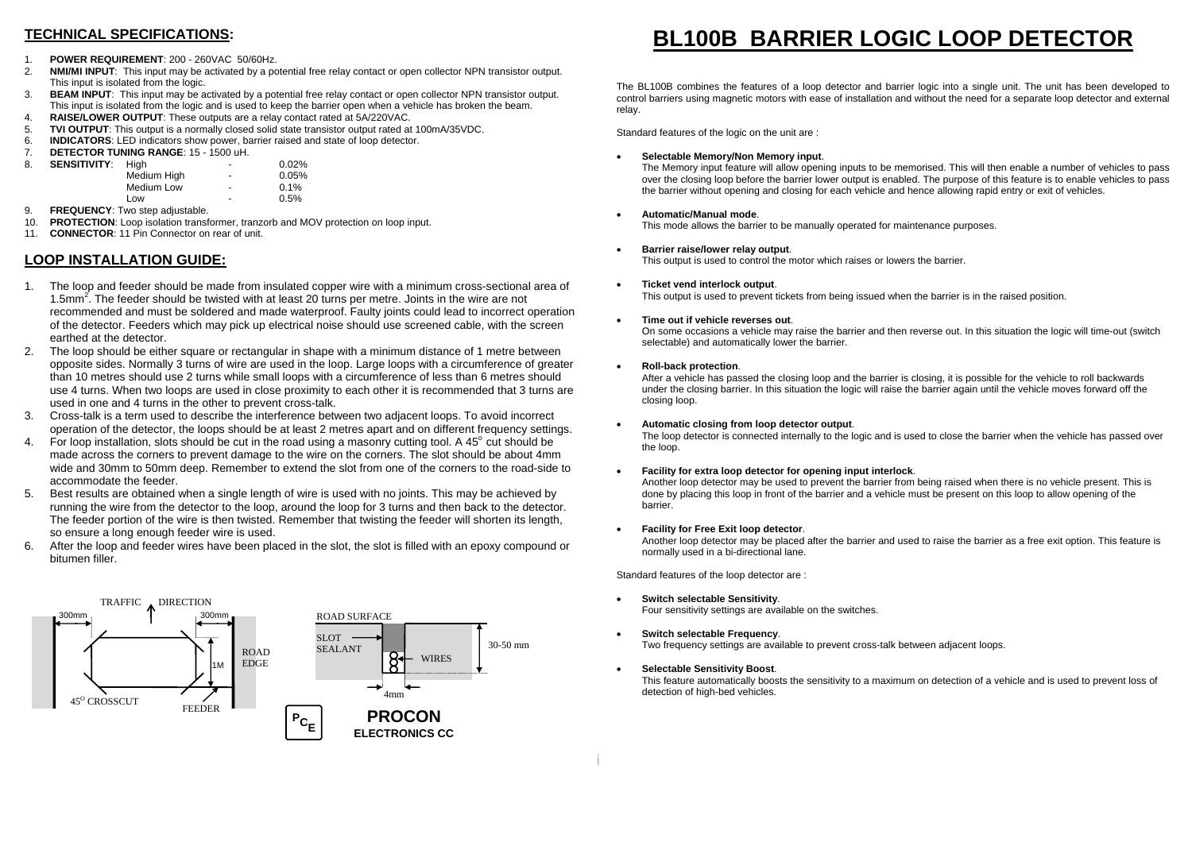## **TECHNICAL SPECIFICATIONS:**

- 1. **POWER REQUIREMENT**: 200 260VAC 50/60Hz.
- 2. **NMI/MI INPUT**: This input may be activated by a potential free relay contact or open collector NPN transistor output. This input is isolated from the logic.
- 3. **BEAM INPUT**: This input may be activated by a potential free relay contact or open collector NPN transistor output. This input is isolated from the logic and is used to keep the barrier open when a vehicle has broken the beam.
- 4. **RAISE/LOWER OUTPUT**: These outputs are a relay contact rated at 5A/220VAC.
- 5. **TVI OUTPUT**: This output is a normally closed solid state transistor output rated at 100mA/35VDC.<br>6. **INDICATORS:** LED indicators show power, barrier raised and state of loop detector.
- 6. **INDICATORS**: LED indicators show power, barrier raised and state of loop detector.
- 7. **DETECTOR TUNING RANGE**: 15 1500 uH.

| 8. | <b>SENSITIVITY:</b> | Hiah        | ٠                        | $0.02\%$ |
|----|---------------------|-------------|--------------------------|----------|
|    |                     | Medium High | $\overline{\phantom{a}}$ | 0.05%    |
|    |                     | Medium Low  | $\overline{\phantom{a}}$ | 0.1%     |
|    |                     | Low         | $\overline{a}$           | 0.5%     |

- 9. **FREQUENCY**: Two step adjustable.
- 10. **PROTECTION**: Loop isolation transformer, tranzorb and MOV protection on loop input.
- 11. **CONNECTOR**: 11 Pin Connector on rear of unit.

## **LOOP INSTALLATION GUIDE:**

- 1. The loop and feeder should be made from insulated copper wire with a minimum cross-sectional area of 1.5mm2. The feeder should be twisted with at least 20 turns per metre. Joints in the wire are not recommended and must be soldered and made waterproof. Faulty joints could lead to incorrect operation of the detector. Feeders which may pick up electrical noise should use screened cable, with the screen earthed at the detector.
- 2. The loop should be either square or rectangular in shape with a minimum distance of 1 metre between opposite sides. Normally 3 turns of wire are used in the loop. Large loops with a circumference of greater than 10 metres should use 2 turns while small loops with a circumference of less than 6 metres should use 4 turns. When two loops are used in close proximity to each other it is recommended that 3 turns are used in one and 4 turns in the other to prevent cross-talk.
- 3. Cross-talk is a term used to describe the interference between two adjacent loops. To avoid incorrect operation of the detector, the loops should be at least 2 metres apart and on different frequency settings.
- 4. For loop installation, slots should be cut in the road using a masonry cutting tool. A 45° cut should be made across the corners to prevent damage to the wire on the corners. The slot should be about 4mm wide and 30mm to 50mm deep. Remember to extend the slot from one of the corners to the road-side to accommodate the feeder.
- 5. Best results are obtained when a single length of wire is used with no joints. This may be achieved by running the wire from the detector to the loop, around the loop for 3 turns and then back to the detector. The feeder portion of the wire is then twisted. Remember that twisting the feeder will shorten its length, so ensure a long enough feeder wire is used.
- 6. After the loop and feeder wires have been placed in the slot, the slot is filled with an epoxy compound or bitumen filler.



# **BL100B BARRIER LOGIC LOOP DETECTOR**

The BL100B combines the features of a loop detector and barrier logic into a single unit. The unit has been developed to control barriers using magnetic motors with ease of installation and without the need for a separate loop detector and external relay.

Standard features of the logic on the unit are :

### •**Selectable Memory/Non Memory input**.

The Memory input feature will allow opening inputs to be memorised. This will then enable a number of vehicles to pass over the closing loop before the barrier lower output is enabled. The purpose of this feature is to enable vehicles to pass the barrier without opening and closing for each vehicle and hence allowing rapid entry or exit of vehicles.

#### •**Automatic/ Manual mode**.

•

•

This mode allows the barrier to be manually operated for maintenance purposes.

 **Barrier raise/lower relay output**. This output is used to control the motor which raises or lowers the barrier.

### •**Ticket vend interlock output**.

This output is used to prevent tickets from being issued when the barrier is in the raised position.

#### •**Time out if vehicle reverses out**.

On some occasions a vehicle may raise the barrier and then reverse out. In this situation the logic will time-out (switch selectable) and automatically lower the barrier.

#### •**Roll-back protection**.

After a vehicle has passed the closing loop and the barrier is closing, it is possible for the vehicle to roll backwards under the closing barrier. In this situation the logic will raise the barrier again until the vehicle moves forward off the closing loop.

#### •**Automatic closing from loop detector output**.

The loop detector is connected internally to the logic and is used to close the barrier when the vehicle has passed over the loop.

#### •**Facility for extra loop detector for opening input interlock**.

Another loop detector may be used to prevent the barrier from being raised when there is no vehicle present. This is done by placing this loop in front of the barrier and a vehicle must be present on this loop to allow opening of the barrier.

#### •**Facility for Free Exit loop detector**.

Another loop detector may be placed after the barrier and used to raise the barrier as a free exit option. This feature is normally used in a bi-directional lane.

Standard features of the loop detector are :

•**Switch selectable Sensitivity**.

Four sensitivity settings are available on the switches.

- • **Switch selectable Frequency**. Two frequency settings are available to prevent cross-talk between adjacent loops.
- **Selectable Sensitivity Boost**. This feature automatically boosts the sensitivity to a maximum on detection of a vehicle and is used to prevent loss of detection of high-bed vehicles.